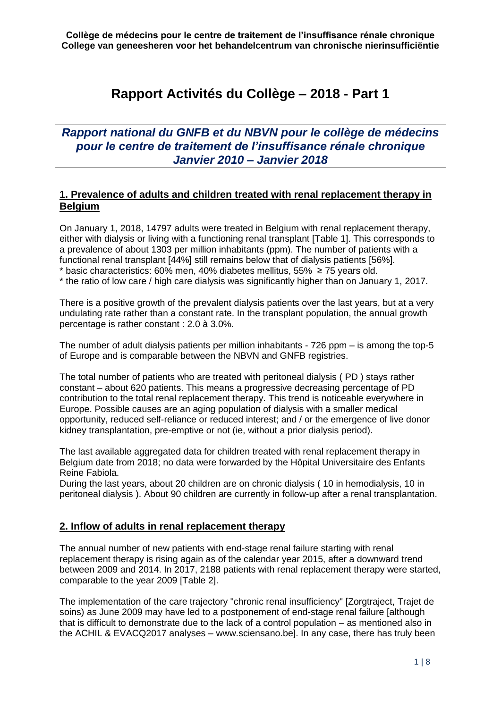# **Rapport Activités du Collège – 2018 - Part 1**

*Rapport national du GNFB et du NBVN pour le collège de médecins pour le centre de traitement de l'insuffisance rénale chronique Janvier 2010 – Janvier 2018*

# **1. Prevalence of adults and children treated with renal replacement therapy in Belgium**

On January 1, 2018, 14797 adults were treated in Belgium with renal replacement therapy, either with dialysis or living with a functioning renal transplant [Table 1]. This corresponds to a prevalence of about 1303 per million inhabitants (ppm). The number of patients with a functional renal transplant [44%] still remains below that of dialysis patients [56%]. \* basic characteristics: 60% men, 40% diabetes mellitus, 55%  $\geq$  75 years old.

\* the ratio of low care / high care dialysis was significantly higher than on January 1, 2017.

There is a positive growth of the prevalent dialysis patients over the last years, but at a very undulating rate rather than a constant rate. In the transplant population, the annual growth percentage is rather constant : 2.0 à 3.0%.

The number of adult dialysis patients per million inhabitants - 726 ppm – is among the top-5 of Europe and is comparable between the NBVN and GNFB registries.

The total number of patients who are treated with peritoneal dialysis ( PD ) stays rather constant – about 620 patients. This means a progressive decreasing percentage of PD contribution to the total renal replacement therapy. This trend is noticeable everywhere in Europe. Possible causes are an aging population of dialysis with a smaller medical opportunity, reduced self-reliance or reduced interest; and / or the emergence of live donor kidney transplantation, pre-emptive or not (ie, without a prior dialysis period).

The last available aggregated data for children treated with renal replacement therapy in Belgium date from 2018; no data were forwarded by the Hôpital Universitaire des Enfants Reine Fabiola.

During the last years, about 20 children are on chronic dialysis ( 10 in hemodialysis, 10 in peritoneal dialysis ). About 90 children are currently in follow-up after a renal transplantation.

## **2. Inflow of adults in renal replacement therapy**

The annual number of new patients with end-stage renal failure starting with renal replacement therapy is rising again as of the calendar year 2015, after a downward trend between 2009 and 2014. In 2017, 2188 patients with renal replacement therapy were started, comparable to the year 2009 [Table 2].

The implementation of the care trajectory "chronic renal insufficiency" [Zorgtraject, Trajet de soins) as June 2009 may have led to a postponement of end-stage renal failure [although that is difficult to demonstrate due to the lack of a control population – as mentioned also in the ACHIL & EVACQ2017 analyses – www.sciensano.be]. In any case, there has truly been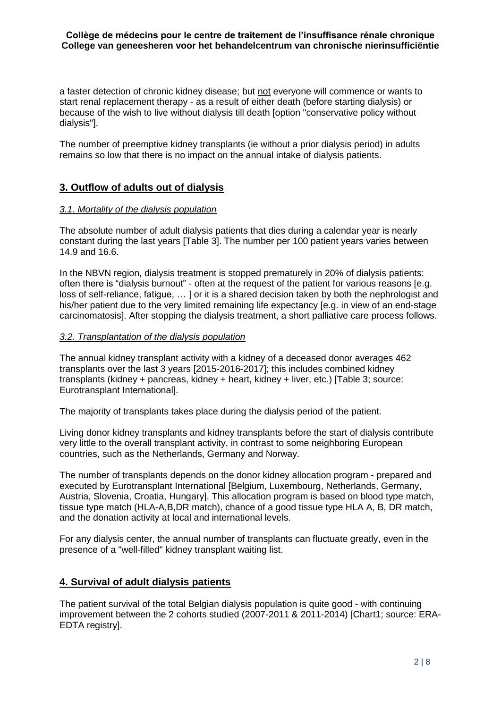a faster detection of chronic kidney disease; but not everyone will commence or wants to start renal replacement therapy - as a result of either death (before starting dialysis) or because of the wish to live without dialysis till death [option "conservative policy without dialysis"].

The number of preemptive kidney transplants (ie without a prior dialysis period) in adults remains so low that there is no impact on the annual intake of dialysis patients.

## **3. Outflow of adults out of dialysis**

## *3.1. Mortality of the dialysis population*

The absolute number of adult dialysis patients that dies during a calendar year is nearly constant during the last years [Table 3]. The number per 100 patient years varies between 14.9 and 16.6.

In the NBVN region, dialysis treatment is stopped prematurely in 20% of dialysis patients: often there is "dialysis burnout" - often at the request of the patient for various reasons [e.g. loss of self-reliance, fatigue, … ] or it is a shared decision taken by both the nephrologist and his/her patient due to the very limited remaining life expectancy [e.g. in view of an end-stage carcinomatosis]. After stopping the dialysis treatment, a short palliative care process follows.

## *3.2. Transplantation of the dialysis population*

The annual kidney transplant activity with a kidney of a deceased donor averages 462 transplants over the last 3 years [2015-2016-2017]; this includes combined kidney transplants (kidney + pancreas, kidney + heart, kidney + liver, etc.) [Table 3; source: Eurotransplant International].

The majority of transplants takes place during the dialysis period of the patient.

Living donor kidney transplants and kidney transplants before the start of dialysis contribute very little to the overall transplant activity, in contrast to some neighboring European countries, such as the Netherlands, Germany and Norway.

The number of transplants depends on the donor kidney allocation program - prepared and executed by Eurotransplant International [Belgium, Luxembourg, Netherlands, Germany, Austria, Slovenia, Croatia, Hungary]. This allocation program is based on blood type match, tissue type match (HLA-A,B,DR match), chance of a good tissue type HLA A, B, DR match, and the donation activity at local and international levels.

For any dialysis center, the annual number of transplants can fluctuate greatly, even in the presence of a "well-filled" kidney transplant waiting list.

## **4. Survival of adult dialysis patients**

The patient survival of the total Belgian dialysis population is quite good - with continuing improvement between the 2 cohorts studied (2007-2011 & 2011-2014) [Chart1; source: ERA-EDTA registry].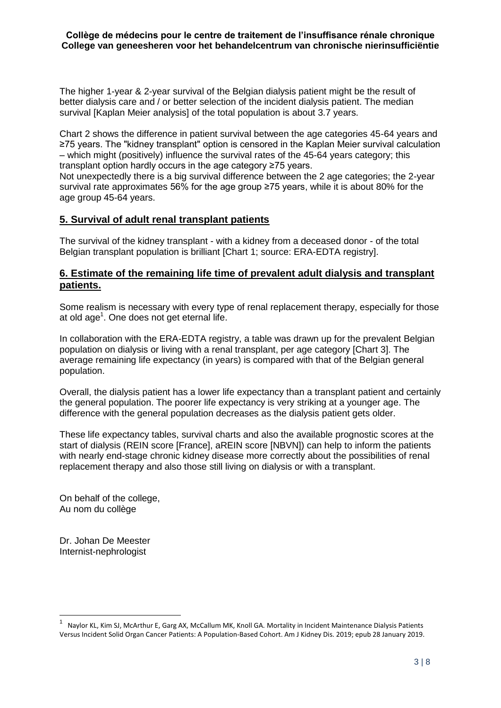The higher 1-year & 2-year survival of the Belgian dialysis patient might be the result of better dialysis care and / or better selection of the incident dialysis patient. The median survival [Kaplan Meier analysis] of the total population is about 3.7 years.

Chart 2 shows the difference in patient survival between the age categories 45-64 years and ≥75 years. The "kidney transplant" option is censored in the Kaplan Meier survival calculation – which might (positively) influence the survival rates of the 45-64 years category; this transplant option hardly occurs in the age category ≥75 years.

Not unexpectedly there is a big survival difference between the 2 age categories; the 2-year survival rate approximates 56% for the age group ≥75 years, while it is about 80% for the age group 45-64 years.

# **5. Survival of adult renal transplant patients**

The survival of the kidney transplant - with a kidney from a deceased donor - of the total Belgian transplant population is brilliant [Chart 1; source: ERA-EDTA registry].

## **6. Estimate of the remaining life time of prevalent adult dialysis and transplant patients.**

Some realism is necessary with every type of renal replacement therapy, especially for those at old age<sup>1</sup>. One does not get eternal life.

In collaboration with the ERA-EDTA registry, a table was drawn up for the prevalent Belgian population on dialysis or living with a renal transplant, per age category [Chart 3]. The average remaining life expectancy (in years) is compared with that of the Belgian general population.

Overall, the dialysis patient has a lower life expectancy than a transplant patient and certainly the general population. The poorer life expectancy is very striking at a younger age. The difference with the general population decreases as the dialysis patient gets older.

These life expectancy tables, survival charts and also the available prognostic scores at the start of dialysis (REIN score [France], aREIN score [NBVN]) can help to inform the patients with nearly end-stage chronic kidney disease more correctly about the possibilities of renal replacement therapy and also those still living on dialysis or with a transplant.

On behalf of the college, Au nom du collège

Dr. Johan De Meester Internist-nephrologist

1

<sup>1</sup> Naylor KL, Kim SJ, McArthur E, Garg AX, McCallum MK, Knoll GA. Mortality in Incident Maintenance Dialysis Patients Versus Incident Solid Organ Cancer Patients: A Population-Based Cohort. Am J Kidney Dis. 2019; epub 28 January 2019.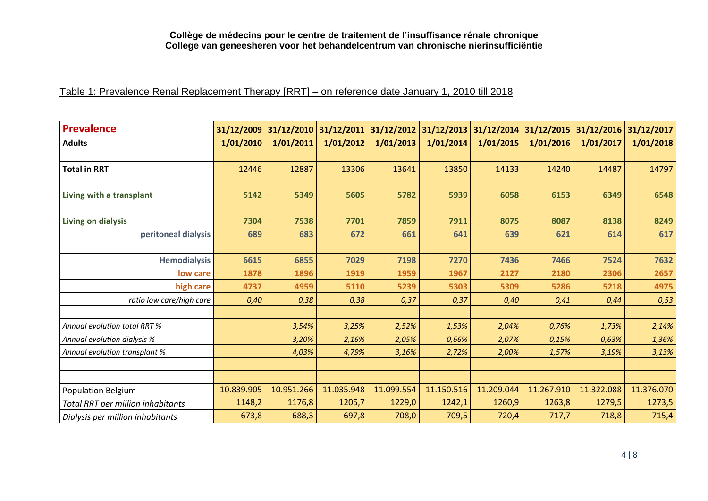# Table 1: Prevalence Renal Replacement Therapy [RRT] – on reference date January 1, 2010 till 2018

| <b>Prevalence</b>                 | 31/12/2009 |            | 31/12/2010 31/12/2011 31/12/2012 31/12/2013 31/12/2014 31/12/2015 31/12/2016 31/12/2017 |            |            |            |            |            |            |
|-----------------------------------|------------|------------|-----------------------------------------------------------------------------------------|------------|------------|------------|------------|------------|------------|
| <b>Adults</b>                     | 1/01/2010  | 1/01/2011  | 1/01/2012                                                                               | 1/01/2013  | 1/01/2014  | 1/01/2015  | 1/01/2016  | 1/01/2017  | 1/01/2018  |
|                                   |            |            |                                                                                         |            |            |            |            |            |            |
| <b>Total in RRT</b>               | 12446      | 12887      | 13306                                                                                   | 13641      | 13850      | 14133      | 14240      | 14487      | 14797      |
|                                   |            |            |                                                                                         |            |            |            |            |            |            |
| Living with a transplant          | 5142       | 5349       | 5605                                                                                    | 5782       | 5939       | 6058       | 6153       | 6349       | 6548       |
|                                   |            |            |                                                                                         |            |            |            |            |            |            |
| Living on dialysis                | 7304       | 7538       | 7701                                                                                    | 7859       | 7911       | 8075       | 8087       | 8138       | 8249       |
| peritoneal dialysis               | 689        | 683        | 672                                                                                     | 661        | 641        | 639        | 621        | 614        | 617        |
|                                   |            |            |                                                                                         |            |            |            |            |            |            |
| <b>Hemodialysis</b>               | 6615       | 6855       | 7029                                                                                    | 7198       | 7270       | 7436       | 7466       | 7524       | 7632       |
| low care                          | 1878       | 1896       | 1919                                                                                    | 1959       | 1967       | 2127       | 2180       | 2306       | 2657       |
| high care                         | 4737       | 4959       | 5110                                                                                    | 5239       | 5303       | 5309       | 5286       | 5218       | 4975       |
| ratio low care/high care          | 0,40       | 0,38       | 0,38                                                                                    | 0,37       | 0,37       | 0,40       | 0,41       | 0,44       | 0,53       |
|                                   |            |            |                                                                                         |            |            |            |            |            |            |
| Annual evolution total RRT %      |            | 3,54%      | 3,25%                                                                                   | 2,52%      | 1,53%      | 2,04%      | 0,76%      | 1,73%      | 2,14%      |
| Annual evolution dialysis %       |            | 3,20%      | 2,16%                                                                                   | 2,05%      | 0,66%      | 2,07%      | 0,15%      | 0,63%      | 1,36%      |
| Annual evolution transplant %     |            | 4,03%      | 4,79%                                                                                   | 3,16%      | 2,72%      | 2,00%      | 1,57%      | 3,19%      | 3,13%      |
|                                   |            |            |                                                                                         |            |            |            |            |            |            |
|                                   |            |            |                                                                                         |            |            |            |            |            |            |
| <b>Population Belgium</b>         | 10.839.905 | 10.951.266 | 11.035.948                                                                              | 11.099.554 | 11.150.516 | 11.209.044 | 11.267.910 | 11.322.088 | 11.376.070 |
| Total RRT per million inhabitants | 1148,2     | 1176,8     | 1205,7                                                                                  | 1229,0     | 1242,1     | 1260,9     | 1263,8     | 1279,5     | 1273,5     |
| Dialysis per million inhabitants  | 673,8      | 688,3      | 697,8                                                                                   | 708,0      | 709,5      | 720,4      | 717,7      | 718,8      | 715,4      |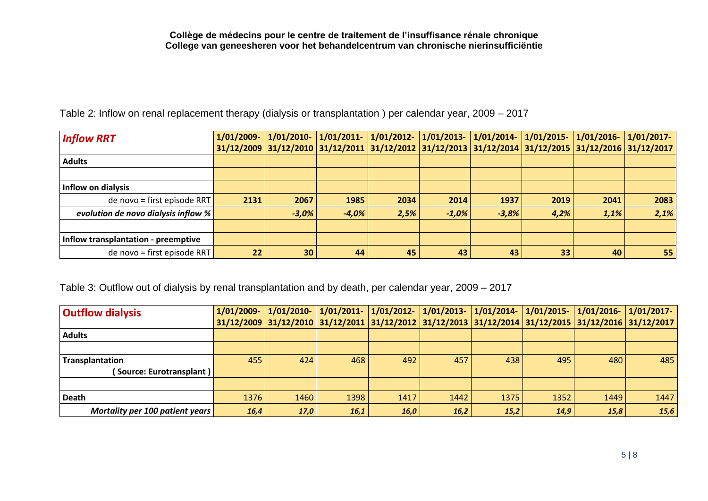Table 2: Inflow on renal replacement therapy (dialysis or transplantation ) per calendar year, 2009 – 2017

| <b>Inflow RRT</b>                   | 1/01/2009-        | $1/01/2010$ -                                                                                                      | $1/01/2011$ - |      |         | $\vert 1/01/2012 - \vert 1/01/2013 - \vert 1/01/2014 - \vert 1/01/2015 - \vert$ |                 | 1/01/2016- | $1/01/2017$ - |
|-------------------------------------|-------------------|--------------------------------------------------------------------------------------------------------------------|---------------|------|---------|---------------------------------------------------------------------------------|-----------------|------------|---------------|
|                                     |                   | 31/12/2009   31/12/2010   31/12/2011   31/12/2012   31/12/2013   31/12/2014   31/12/2015   31/12/2016   31/12/2017 |               |      |         |                                                                                 |                 |            |               |
| <b>Adults</b>                       |                   |                                                                                                                    |               |      |         |                                                                                 |                 |            |               |
|                                     |                   |                                                                                                                    |               |      |         |                                                                                 |                 |            |               |
| <b>Inflow on dialysis</b>           |                   |                                                                                                                    |               |      |         |                                                                                 |                 |            |               |
| de novo = first episode RRT         | 2131              | 2067                                                                                                               | 1985          | 2034 | 2014    | 1937                                                                            | 2019            | 2041       | 2083          |
| evolution de novo dialysis inflow % |                   | $-3,0%$                                                                                                            | $-4,0%$       | 2,5% | $-1,0%$ | $-3,8%$                                                                         | 4,2%            | 1,1%       | 2,1%          |
|                                     |                   |                                                                                                                    |               |      |         |                                                                                 |                 |            |               |
| Inflow transplantation - preemptive |                   |                                                                                                                    |               |      |         |                                                                                 |                 |            |               |
| de novo = first episode RRT         | $22 \overline{)}$ | 30                                                                                                                 | 44            | 45   | 43      | 43                                                                              | 33 <sup>1</sup> | 40         | 55            |

Table 3: Outflow out of dialysis by renal transplantation and by death, per calendar year, 2009 – 2017

| <b>Outflow dialysis</b>         | 1/01/2009- | $1/01/2010 - 1/01/2011$ |      |      | 1/01/2012-  1/01/2013-  1/01/2014-  1/01/2015- |      |                                                                                                                    | $1/01/2016 - 1/01/2017$ |      |
|---------------------------------|------------|-------------------------|------|------|------------------------------------------------|------|--------------------------------------------------------------------------------------------------------------------|-------------------------|------|
|                                 |            |                         |      |      |                                                |      | 31/12/2009   31/12/2010   31/12/2011   31/12/2012   31/12/2013   31/12/2014   31/12/2015   31/12/2016   31/12/2017 |                         |      |
| <b>Adults</b>                   |            |                         |      |      |                                                |      |                                                                                                                    |                         |      |
|                                 |            |                         |      |      |                                                |      |                                                                                                                    |                         |      |
| <b>Transplantation</b>          | 455        | 424                     | 468  | 492  | 457                                            | 438  | 495                                                                                                                | 480                     | 485  |
| (Source: Eurotransplant)        |            |                         |      |      |                                                |      |                                                                                                                    |                         |      |
|                                 |            |                         |      |      |                                                |      |                                                                                                                    |                         |      |
| Death                           | 1376       | 1460                    | 1398 | 1417 | 1442                                           | 1375 | 1352                                                                                                               | 1449                    | 1447 |
| Mortality per 100 patient years | 16,4       | 17,0                    | 16,1 | 16,0 | 16,2                                           | 15,2 | 14,9                                                                                                               | 15,8                    | 15,6 |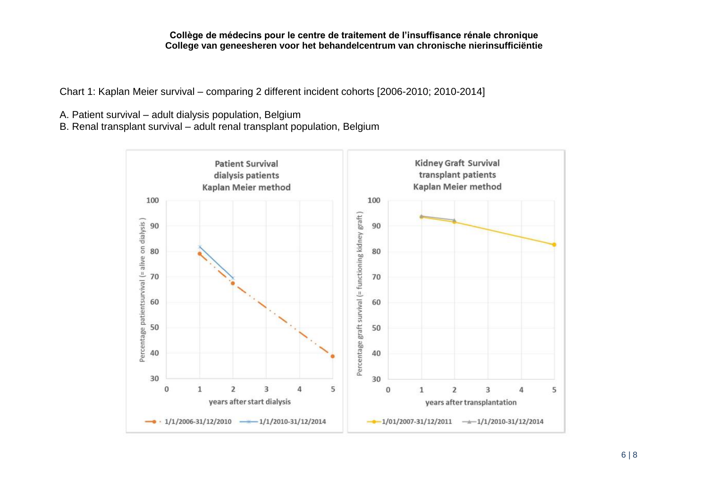Chart 1: Kaplan Meier survival – comparing 2 different incident cohorts [2006-2010; 2010-2014]

A. Patient survival – adult dialysis population, Belgium

B. Renal transplant survival – adult renal transplant population, Belgium

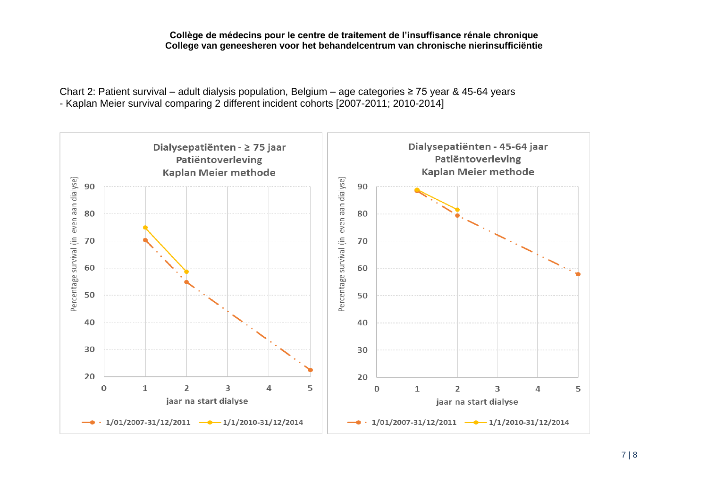Chart 2: Patient survival – adult dialysis population, Belgium – age categories ≥ 75 year & 45-64 years - Kaplan Meier survival comparing 2 different incident cohorts [2007-2011; 2010-2014]